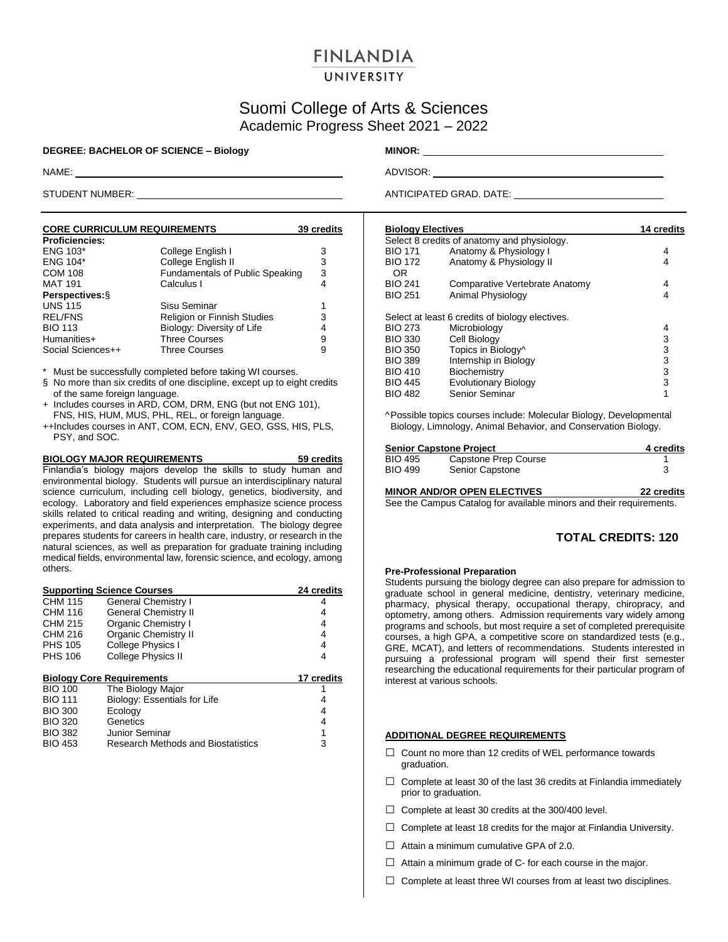# **FINLANDIA**

# UNIVERSITY

# Suomi College of Arts & Sciences Academic Progress Sheet 2021 – 2022

## **DEGREE: BACHELOR OF SCIENCE – Biology MINOR:**

| <b>CORE CURRICULUM REQUIREMENTS</b> | 39 credits                      |   |
|-------------------------------------|---------------------------------|---|
| <b>Proficiencies:</b>               |                                 |   |
| <b>ENG 103*</b>                     | College English I               | 3 |
| <b>ENG 104*</b>                     | College English II              | 3 |
| <b>COM 108</b>                      | Fundamentals of Public Speaking | 3 |
| <b>MAT 191</b>                      | Calculus I                      | 4 |
| Perspectives: §                     |                                 |   |
| <b>UNS 115</b>                      | Sisu Seminar                    | 1 |
| <b>REL/FNS</b>                      | Religion or Finnish Studies     | 3 |
| <b>BIO 113</b>                      | Biology: Diversity of Life      | 4 |
| Humanities+                         | <b>Three Courses</b>            | 9 |
| Social Sciences++                   | <b>Three Courses</b>            | 9 |

\* Must be successfully completed before taking WI courses.

- § No more than six credits of one discipline, except up to eight credits of the same foreign language.
- + Includes courses in ARD, COM, DRM, ENG (but not ENG 101), FNS, HIS, HUM, MUS, PHL, REL, or foreign language.
- ++Includes courses in ANT, COM, ECN, ENV, GEO, GSS, HIS, PLS, PSY, and SOC.

**BIOLOGY MAJOR REQUIREMENTS 59 credits** Finlandia's biology majors develop the skills to study human and environmental biology. Students will pursue an interdisciplinary natural science curriculum, including cell biology, genetics, biodiversity, and ecology. Laboratory and field experiences emphasize science process skills related to critical reading and writing, designing and conducting experiments, and data analysis and interpretation. The biology degree prepares students for careers in health care, industry, or research in the natural sciences, as well as preparation for graduate training including medical fields, environmental law, forensic science, and ecology, among others.

| <b>Supporting Science Courses</b> | 24 credits                         |            |
|-----------------------------------|------------------------------------|------------|
| CHM 115                           | General Chemistry I                |            |
| <b>CHM 116</b>                    | <b>General Chemistry II</b>        | 4          |
| CHM 215                           | Organic Chemistry I                | 4          |
| CHM 216                           | <b>Organic Chemistry II</b>        | 4          |
| <b>PHS 105</b>                    | College Physics I                  | 4          |
| <b>PHS 106</b>                    | <b>College Physics II</b>          | 4          |
|                                   | <b>Biology Core Requirements</b>   | 17 credits |
| <b>BIO 100</b>                    | The Biology Major                  |            |
| <b>BIO 111</b>                    | Biology: Essentials for Life       |            |
| <b>BIO 300</b>                    | Ecology                            | 4          |
| <b>BIO 320</b>                    | Genetics                           | 4          |
| <b>BIO 382</b>                    | Junior Seminar                     |            |
| <b>BIO 453</b>                    | Research Methods and Biostatistics | 3          |

NAME: ADVISOR: AND ADVISOR: AND ADVISOR: ADVISOR: ADVISOR: ADVISOR: ADVISOR: ADVISOR: ADVISOR: ADVISOR: ADVISOR

STUDENT NUMBER: <u>ANTICIPATED GRAD.</u> DATE:

| <b>Biology Electives</b>                        |   |  |  |  |
|-------------------------------------------------|---|--|--|--|
| Select 8 credits of anatomy and physiology.     |   |  |  |  |
| Anatomy & Physiology I                          | 4 |  |  |  |
| Anatomy & Physiology II                         | 4 |  |  |  |
| Comparative Vertebrate Anatomy                  | 4 |  |  |  |
| Animal Physiology                               | 4 |  |  |  |
| Select at least 6 credits of biology electives. |   |  |  |  |
| Microbiology                                    | 4 |  |  |  |
| Cell Biology                                    | 3 |  |  |  |
| Topics in Biology^                              | 3 |  |  |  |
| Internship in Biology                           | 3 |  |  |  |
| Biochemistry                                    | 3 |  |  |  |
| <b>Evolutionary Biology</b>                     | 3 |  |  |  |
| Senior Seminar                                  | 1 |  |  |  |
|                                                 |   |  |  |  |

^Possible topics courses include: Molecular Biology, Developmental Biology, Limnology, Animal Behavior, and Conservation Biology.

|                | <b>Senior Capstone Project</b> | 4 credits |  |  |
|----------------|--------------------------------|-----------|--|--|
| BIO 495        | Capstone Prep Course           |           |  |  |
| <b>BIO 499</b> | Senior Capstone                |           |  |  |

## **MINOR AND/OR OPEN ELECTIVES 22 credits**

See the Campus Catalog for available minors and their requirements.

## **TOTAL CREDITS: 120**

#### **Pre-Professional Preparation**

Students pursuing the biology degree can also prepare for admission to graduate school in general medicine, dentistry, veterinary medicine, pharmacy, physical therapy, occupational therapy, chiropracy, and optometry, among others. Admission requirements vary widely among programs and schools, but most require a set of completed prerequisite courses, a high GPA, a competitive score on standardized tests (e.g., GRE, MCAT), and letters of recommendations. Students interested in pursuing a professional program will spend their first semester researching the educational requirements for their particular program of interest at various schools.

### **ADDITIONAL DEGREE REQUIREMENTS**

- □ Count no more than 12 credits of WEL performance towards graduation.
- $\Box$  Complete at least 30 of the last 36 credits at Finlandia immediately prior to graduation.
- $\Box$  Complete at least 30 credits at the 300/400 level.
- $\Box$  Complete at least 18 credits for the major at Finlandia University.
- $\Box$  Attain a minimum cumulative GPA of 2.0.
- $\Box$  Attain a minimum grade of C- for each course in the major.
- $\Box$  Complete at least three WI courses from at least two disciplines.